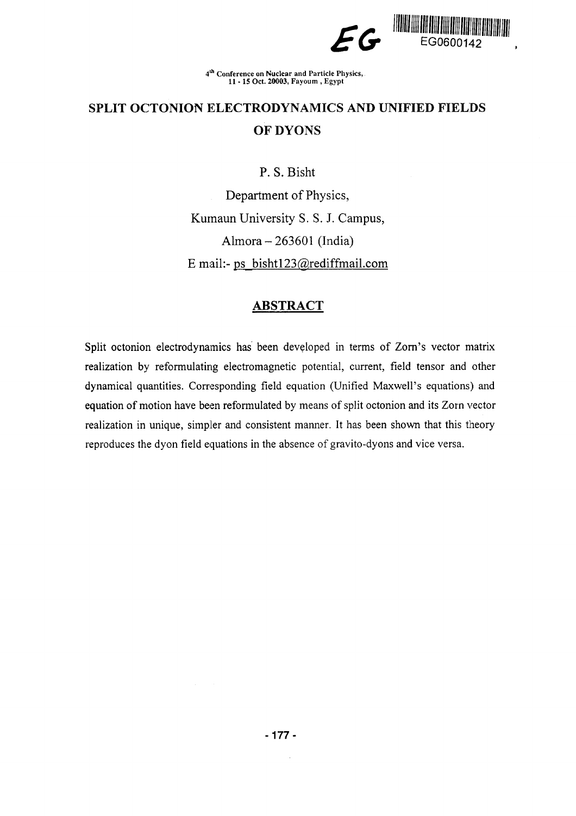

4 lh Conference on Nuclear and Particle Physics, 11-15 Oct. 20003, Fayoum , Egypt

# **SPLIT OCTONION ELECTRODYNAMICS AND UNIFIED FIELDS OF DYONS**

**P.** S. Bisht

Department of Physics, Kurnaun University S. S. J. Campus, Almora-263601 (India) E mail:- ps  $bisht123@rediffmail.com$ 

# **ABSTRACT**

Split octonion electrodynamics has been developed in terms of Zorn's vector matrix realization by reformulating electromagnetic potential, current, field tensor and other dynamical quantities. Corresponding field equation (Unified Maxwell's equations) and equation of motion have been reformulated by means of split octonion and its Zorn vector realization in unique, simpler and consistent manner. It has been shown that this theory reproduces the dyon field equations in the absence of gravito-dyons and vice versa.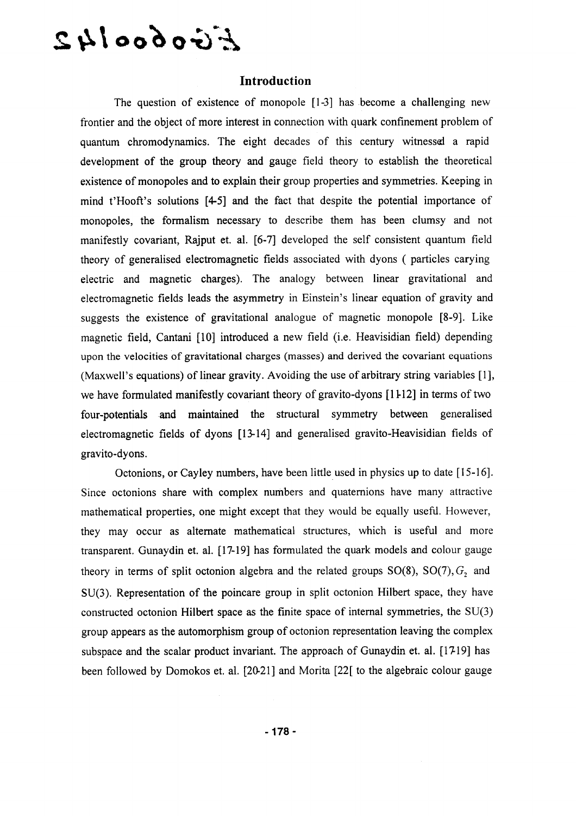# $E$ irobool $42$

#### **Introduction**

The question of existence of monopole [1-3] has become a challenging new frontier and the object of more interest in connection with quark confinement problem of quantum chromodynamics. The eight decades of this century witnessed a rapid development of the group theory and gauge field theory to establish the theoretical existence of monopoles and to explain their group properties and symmetries. Keeping in mind t'Hooft's solutions [4-5] and the fact that despite the potential importance of monopoles, the formalism necessary to describe them has been clumsy and not manifestly covariant, Rajput et. al. [6-7] developed the self consistent quantum field theory of generalised electromagnetic fields associated with dyons ( particles carying electric and magnetic charges). The analogy between linear gravitational and electromagnetic fields leads the asymmetry in Einstein's linear equation of gravity and suggests the existence of gravitational analogue of magnetic monopole [8-9]. Like magnetic field, Cantani [10] introduced a new field (i.e. Heavisidian field) depending upon the velocities of gravitational charges (masses) and derived the covariant equations (Maxwell's equations) of linear gravity. Avoiding the use of arbitrary string variables [1], we have formulated manifestly covariant theory of gravito-dyons [11-12] in terms of two four-potentials and maintained the structural symmetry between generalised electromagnetic fields of dyons [13-14] and generalised gravito-Heavisidian fields of gravito-dyons.

Octonions, or Cayley numbers, have been little used in physics up to date [15-16]. Since octonions share with complex numbers and quaternions have many attractive mathematical properties, one might except that they would be equally usefil. However, they may occur as alternate mathematical structures, which is useful and more transparent. Gunaydin et. al. [17-19] has formulated the quark models and colour gauge theory in terms of split octonion algebra and the related groups  $SO(8)$ ,  $SO(7)$ ,  $G_2$  and SU(3). Representation of the poincare group in split octonion Hilbert space, they have constructed octonion Hilbert space as the finite space of internal symmetries, the SU(3) group appears as the automorphism group of octonion representation leaving the complex subspace and the scalar product invariant. The approach of Gunaydin et. al. [17-19] has been followed by Domokos et. al. [20-21] and Morita [22[ to the algebraic colour gauge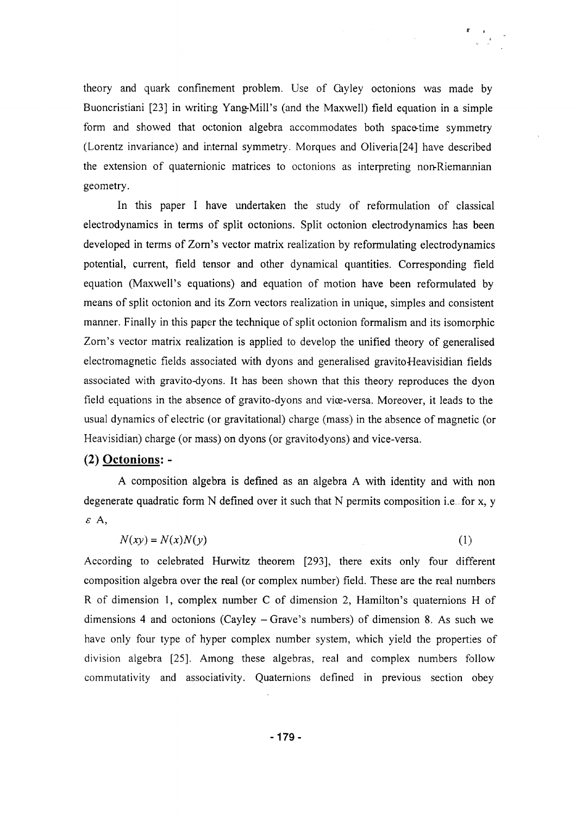theory and quark confinement problem. Use of Cayley octonions was made by Buoncristiani [23] in writing Yang-Mill's (and the Maxwell) field equation in a simple form and showed that octonion algebra accommodates both space-time symmetry (Lorentz invariance) and internal symmetry. Morques and Oliveria[24] have described the extension of quaternionic matrices to octonions as interpreting non-Riemannian geometry.

In this paper I have undertaken the study of reformulation of classical electrodynamics in terms of split octonions. Split octonion electrodynamics has been developed in terms of Zorn's vector matrix realization by reformulating electrodynamics potential, current, field tensor and other dynamical quantities. Corresponding field equation (Maxwell's equations) and equation of motion have been reformulated by means of split octonion and its Zorn vectors realization in unique, simples and consistent manner. Finally in this paper the technique of split octonion formalism and its isomorphic Zorn's vector matrix realization is applied to develop the unified theory of generalised electromagnetic fields associated with dyons and generalised gravito-Heavisidian fields associated with gravito-dyons. It has been shown that this theory reproduces the dyon field equations in the absence of gravito-dyons and vice-versa. Moreover, it leads to the usual dynamics of electric (or gravitational) charge (mass) in the absence of magnetic (or Heavisidian) charge (or mass) on dyons (or gravitodyons) and vice-versa.

## **(2) Octonions:** -

A composition algebra is defined as an algebra A with identity and with non degenerate quadratic form N defined over it such that N permits composition i.e..for x, y *s A,*

$$
N(xy) = N(x)N(y)
$$
 (1)

According to celebrated Hurwitz theorem [293], there exits only four different composition algebra over the real (or complex number) field. These are the real numbers R of dimension 1, complex number C of dimension 2, Hamilton's quaternions H of dimensions 4 and octonions (Cayley  $-$  Grave's numbers) of dimension 8. As such we have only four type of hyper complex number system, which yield the properties of division algebra [25]. Among these algebras, real and complex numbers follow commutativity and associativity. Quaternions defined in previous section obey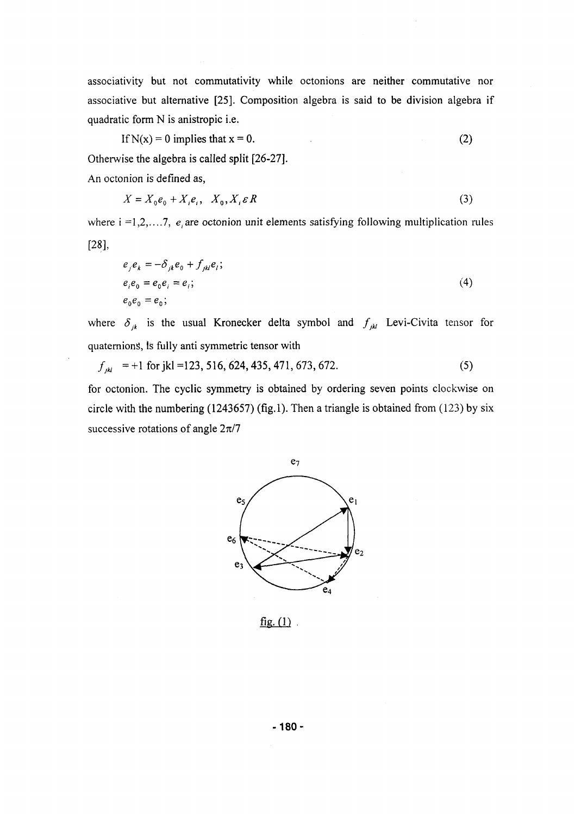associativity but not commutativity while octonions are neither commutative nor associative but alternative [25]. Composition algebra is said to be division algebra if quadratic form N is anistropic i.e.

If 
$$
N(x) = 0
$$
 implies that  $x = 0$ . (2)

Otherwise the algebra is called split [26-27].

An octonion is defined as,

$$
X = X_0 e_0 + X_i e_i, \quad X_0, X_i \in R
$$
\n<sup>(3)</sup>

where  $i = 1, 2, \ldots, 7$ ,  $e_i$  are octonion unit elements satisfying following multiplication rules [28],

$$
e_j e_k = -\delta_{jk} e_0 + f_{jkl} e_l;
$$
  
\n
$$
e_i e_0 = e_0 e_i = e_i;
$$
  
\n
$$
e_0 e_0 = e_0;
$$
  
\n(4)

where  $\delta_{jk}$  is the usual Kronecker delta symbol and  $f_{jk}$  Levi-Civita tensor for quaternions, is fully anti symmetric tensor with

$$
f_{jkl} = +1 \text{ for } jkl = 123, 516, 624, 435, 471, 673, 672. \tag{5}
$$

for octonion. The cyclic symmetry is obtained by ordering seven points clockwise on circle with the numbering  $(1243657)$  (fig.1). Then a triangle is obtained from  $(123)$  by six successive rotations of angle *2n/7*



 $fig. (1)$ .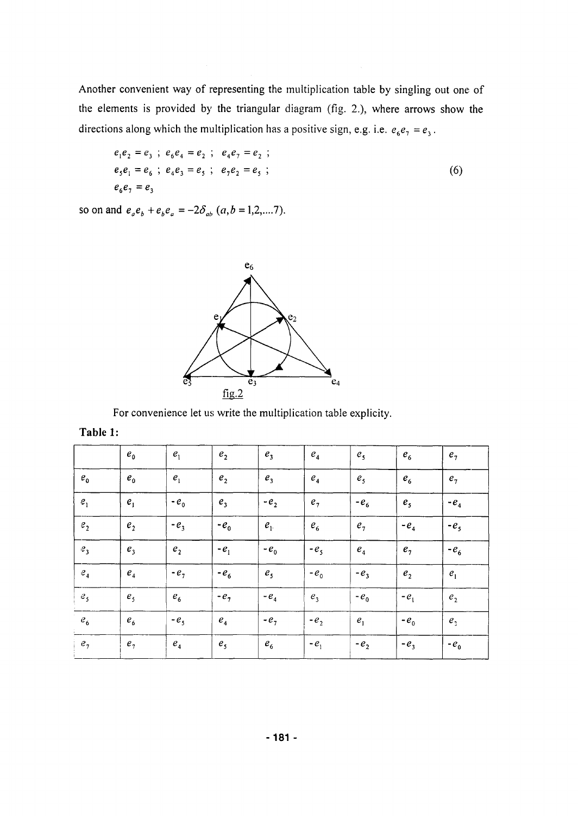Another convenient way of representing the multiplication table by singling out one of the elements is provided by the triangular diagram (fig. 2.), where arrows show the directions along which the multiplication has a positive sign, e.g. i.e.  $e_6e_7 = e_3$ .

$$
e_1e_2 = e_3
$$
;  $e_6e_4 = e_2$ ;  $e_4e_7 = e_2$ ;  
\n $e_5e_1 = e_6$ ;  $e_4e_3 = e_5$ ;  $e_7e_2 = e_5$ ;  
\n $e_6e_7 = e_3$  (6)

so on and  $e_{a}e_{b} + e_{b}e_{a} = -2\delta_{ab}$  (*a*, *b* = 1,2,....7).



For convenience let us write the multiplication table explicity.

| Table 1 |  |
|---------|--|
|---------|--|

|                    | $e_{0}$                    | $e_{1}$            | $e_{2}$        | $e_3$          | $\boldsymbol{e}_4$ | e <sub>5</sub> | $e_{6}$            | e <sub>7</sub> |
|--------------------|----------------------------|--------------------|----------------|----------------|--------------------|----------------|--------------------|----------------|
| $e_{0}$            | $e_{\scriptscriptstyle 0}$ | $e_{1}$            | $e_{2}$        | $e_3$          | e <sub>4</sub>     | e <sub>5</sub> | $e_{6}$            | e <sub>7</sub> |
| $e_1$              | $e_{1}$                    | $-e_0$             | e <sub>3</sub> | $-e2$          | e <sub>7</sub>     | $-e_6$         | e <sub>5</sub>     | $-e4$          |
| $\boldsymbol{e}_2$ | e <sub>2</sub>             | $-e_3$             | $-e0$          | $e_{1}$        | $e_{6}$            | e <sub>7</sub> | - $e_4$            | $-e5$          |
| e <sub>3</sub>     | e <sub>3</sub>             | e <sub>2</sub>     | $-e_1$         | $-e_0$         | $-e5$              | $\pmb{e}_4$    | e <sub>7</sub>     | $-e_6$         |
| e <sub>4</sub>     | $\boldsymbol{e}_4$         | $-e_{7}$           | $-e_6$         | e <sub>5</sub> | $-e_0$             | $-e_3$         | $\boldsymbol{e}_2$ | $e_1$          |
| $e_{s}$            | e <sub>5</sub>             | $e_{6}$            | $-e7$          | $-e_4$         | $e_3$              | $-e_0$         | $-e_1$             | e <sub>2</sub> |
| $\mathcal{C}_6$    | $e_{6}$                    | $-e5$              | e <sub>4</sub> | $-e_{7}$       | $-e_{2}$           | e <sub>1</sub> | $-e_0$             | e <sub>2</sub> |
| e <sub>7</sub>     | e <sub>7</sub>             | $\boldsymbol{e}_4$ | e <sub>5</sub> | $e_{6}$        | $-e_1$             | $-e_{2}$       | $-e_3$             | $-e_0$         |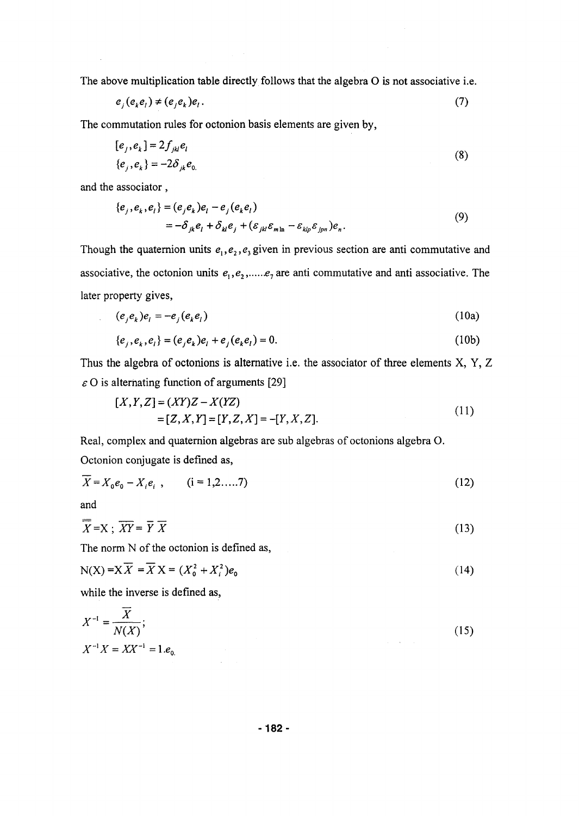The above multiplication table directly follows that the algebra O is not associative i.e.

$$
e_j(e_k e_l) \neq (e_j e_k) e_l. \tag{7}
$$

The commutation rules for octonion basis elements are given by,

$$
[ej, ek] = 2fjklel
$$
  

$$
\{ej, ek\} = -2\deltajke0
$$
 (8)

and the associator,

$$
\begin{aligned} \{e_j, e_k, e_l\} &= (e_j e_k) e_l - e_j (e_k e_l) \\ &= -\delta_{jk} e_l + \delta_{kl} e_j + (\varepsilon_{jkl} \varepsilon_{m\ln} - \varepsilon_{klp} \varepsilon_{jpn}) e_n. \end{aligned} \tag{9}
$$

Though the quaternion units  $e_1, e_2, e_3$  given in previous section are anti commutative and associative, the octonion units  $e_1, e_2, \ldots, e_n$  are anti commutative and anti associative. The later property gives,

$$
(e_j e_k) e_l = -e_j (e_k e_l) \tag{10a}
$$

$$
\{e_j, e_k, e_l\} = (e_j e_k) e_l + e_j (e_k e_l) = 0.
$$
 (10b)

Thus the algebra of octonions is alternative i.e. the associator of three elements X, Y, Z *e* O is alternating function of arguments [29]

$$
[X,Y,Z] = (XY)Z - X(YZ)
$$
  
= [Z, X, Y] = [Y, Z, X] = -[Y, X, Z]. (11)

Real, complex and quaternion algebras are sub algebras of octonions algebra O. Octonion conjugate is defined as,

$$
\overline{X} = X_0 e_0 - X_i e_i , \qquad (i = 1, 2, \dots, 7)
$$
\n(12)

and

$$
\overline{X} = X ; \overline{XY} = \overline{Y} \overline{X}
$$
 (13)

The norm N of the octonion is defined as,

$$
N(X) = X\overline{X} = \overline{X}X = (X_0^2 + X_i^2)e_0
$$
 (14)

while the inverse is defined as,

$$
X^{-1} = \frac{X}{N(X)};
$$
  
\n
$$
X^{-1}X = XX^{-1} = 1.e_0.
$$
\n(15)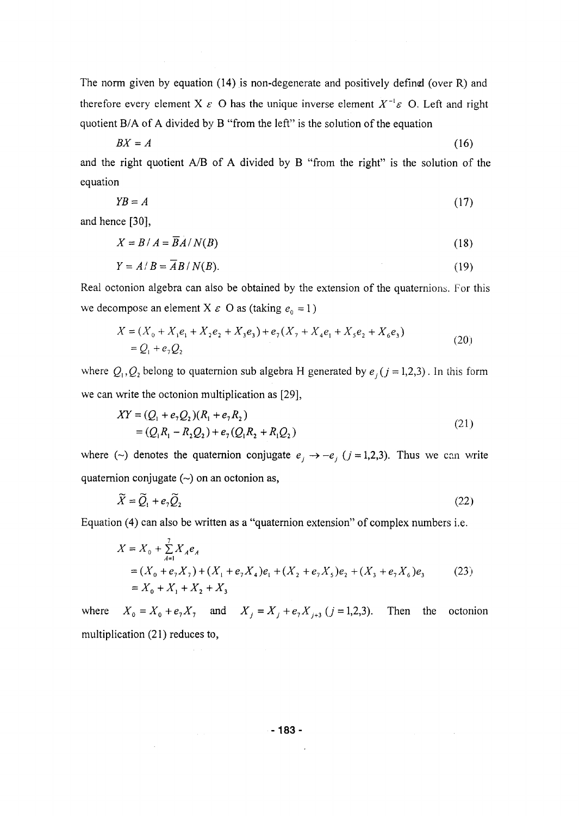The norm given by equation (14) is non-degenerate and positively defined (over R) and therefore every element X  $\varepsilon$  O has the unique inverse element  $X^{-1}\varepsilon$  O. Left and right quotient B/A of A divided by B "from the left" is the solution of the equation

$$
BX = A \tag{16}
$$

and the right quotient A/B of A divided by B "from the right" is the solution of the equation

$$
YB = A \tag{17}
$$

and hence [30],

$$
X = B/A = \overline{B}A/N(B)
$$
 (18)

$$
Y = A/B = \overline{A}B/N(B). \tag{19}
$$

Real octonion algebra can also be obtained by the extension of the quaternions. For this we decompose an element X  $\varepsilon$  O as (taking  $e_0 = 1$ )

$$
X = (X_0 + X_1e_1 + X_2e_2 + X_3e_3) + e_7(X_7 + X_4e_1 + X_5e_2 + X_6e_3)
$$
  
=  $Q_1 + e_7Q_2$  (20)

where  $Q_1, Q_2$  belong to quaternion sub algebra H generated by  $e_i$  ( $j = 1,2,3$ ). In this form we can write the octonion multiplication as [29],

$$
XY = (Q_1 + e_7 Q_2)(R_1 + e_7 R_2)
$$
  
= (Q<sub>1</sub>R<sub>1</sub> - R<sub>2</sub>Q<sub>2</sub>) + e<sub>7</sub>(Q<sub>1</sub>R<sub>2</sub> + R<sub>1</sub>Q<sub>2</sub>) (21)

where (~) denotes the quaternion conjugate  $e_j \rightarrow -e_j$  ( $j = 1,2,3$ ). Thus we can write quaternion conjugate  $(\sim)$  on an octonion as,

$$
\widetilde{X} = \widetilde{Q}_1 + e_2 \widetilde{Q}_2 \tag{22}
$$

Equation (4) can also be written as a "quaternion extension" of complex numbers i.e.

$$
X = X_0 + \sum_{A=1}^{7} X_A e_A
$$
  
=  $(X_0 + e_7 X_7) + (X_1 + e_7 X_4) e_1 + (X_2 + e_7 X_5) e_2 + (X_3 + e_7 X_6) e_3$  (23)  
=  $X_0 + X_1 + X_2 + X_3$ 

where  $X_0 = X_0 + e_7 X_7$  and  $X_j = X_j + e_7 X_{j+3}$  ( $j = 1, 2, 3$ ). Then the octonion multiplication (21) reduces to,

-183-

 $\hat{\mathcal{L}}$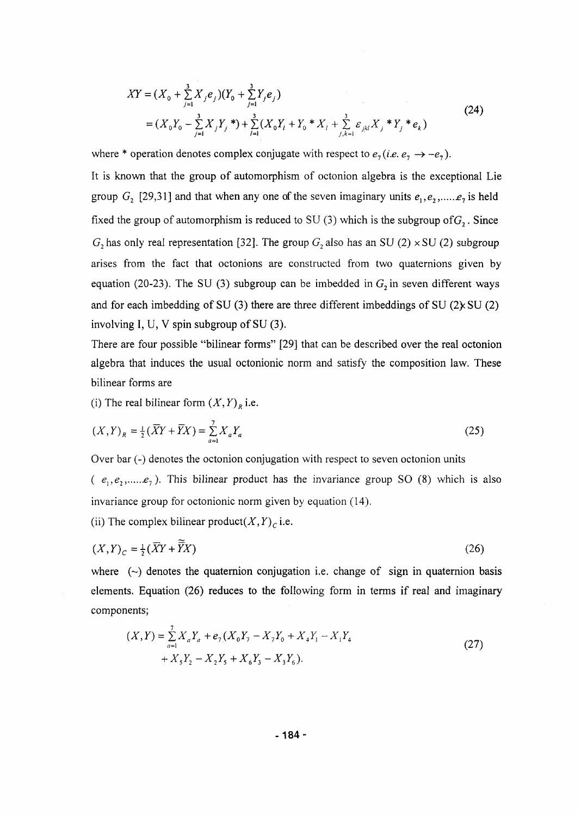$$
XY = (X_0 + \sum_{j=1}^{3} X_j e_j)(Y_0 + \sum_{j=1}^{3} Y_j e_j)
$$
  
=  $(X_0 Y_0 - \sum_{j=1}^{3} X_j Y_j^*) + \sum_{l=1}^{3} (X_0 Y_l + Y_0^* X_l + \sum_{j,k=1}^{3} \varepsilon_{jkl} X_j^* Y_j^* e_k)$  (24)

where \* operation denotes complex conjugate with respect to  $e_7$  *(i.e.*  $e_7 \rightarrow -e_7$ ). It is known that the group of automorphism of octonion algebra is the exceptional Lie group  $G_2$  [29,31] and that when any one of the seven imaginary units  $e_1, e_2, \dots, e_7$  is held fixed the group of automorphism is reduced to SU (3) which is the subgroup of  $G_2$ . Since  $G_2$  has only real representation [32]. The group  $G_2$  also has an SU (2)  $\times$  SU (2) subgroup arises from the fact that octonions are constructed from two quaternions given by equation (20-23). The SU (3) subgroup can be imbedded in  $G_2$  in seven different ways and for each imbedding of SU (3) there are three different imbeddings of SU (2)  $\angle$  SU (2) involving I, U, V spin subgroup of SU (3).

There are four possible "bilinear forms" [29] that can be described over the real octonion algebra that induces the usual octonionic norm and satisfy the composition law. These bilinear forms are

(i) The real bilinear form  $(X, Y)$ <sup>*R*</sup> i.e.

$$
(X,Y)_R = \frac{1}{2}(\bar{X}Y + \bar{Y}X) = \sum_{a=1}^{7} X_a Y_a
$$
 (25)

Over bar (-) denotes the octonion conjugation with respect to seven octonion units  $\overline{\phantom{a}}$  (-) denotes the octonion conjugation conjugation with respect to seven octonion units  $\overline{\phantom{a}}$  $(e^e)$ ,  $(e^e)$ ,  $(e^e)$ ,  $(e^e)$ ,  $(e^e)$ ,  $(e^e)$ ,  $(e^e)$ ,  $(e^e)$ ,  $(e^e)$ ,  $(e^e)$ ,  $(e^e)$ ,  $(e^e)$ ,  $(e^e)$ ,  $(e^e)$ ,  $(e^e)$ ,  $(e^e)$ ,  $(e^e)$ ,  $(e^e)$ ,  $(e^e)$ ,  $(e^e)$ ,  $(e^e)$ ,  $(e^e)$ ,  $(e^e)$ ,  $(e^e)$ ,  $(e^e)$ ,  $(e^e)$ ,  $(e^e)$ ,  $(e^e)$ invariance group for octonionic norm given by equation (14).

(ii) The complex bilinear product $(X, Y)$ <sup>*c*</sup> i.e.

$$
(X,Y)_c = \frac{1}{2}(\overline{X}Y + \overline{\widetilde{Y}}X) \tag{26}
$$

where  $(\sim)$  denotes the quaternion conjugation i.e. change of sign in quaternion basis elements. Equation (26) reduces to the following form in terms if real and imaginary components;

$$
(X,Y) = \sum_{a=1}^{7} X_a Y_a + e_7 (X_0 Y_7 - X_7 Y_0 + X_4 Y_1 - X_1 Y_4 + X_5 Y_2 - X_2 Y_5 + X_6 Y_3 - X_3 Y_6).
$$
\n(27)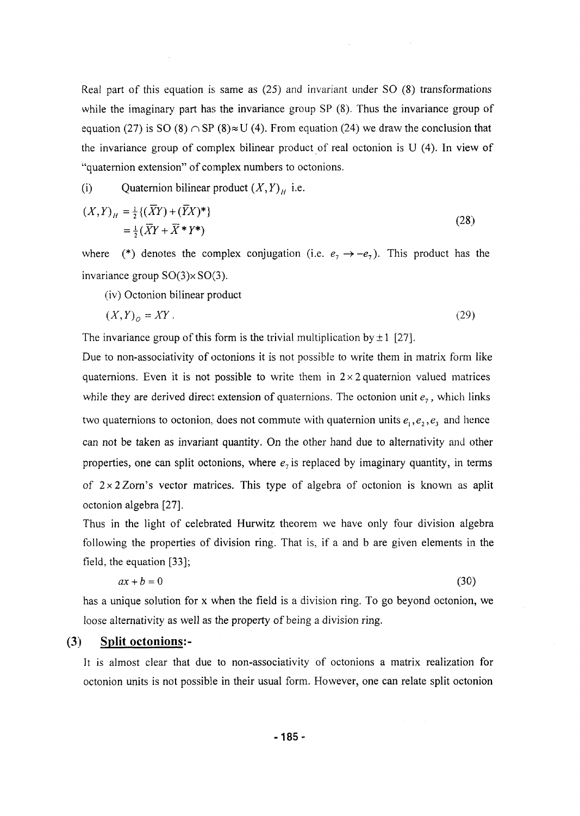Real part of this equation is same as (25) and invariant under SO (8) transformations while the imaginary part has the invariance group SP (8). Thus the invariance group of equation (27) is SO (8)  $\cap$  SP (8) $\approx$  U (4). From equation (24) we draw the conclusion that the invariance group of complex bilinear product of real octonion is U (4). In view of "quaternion extension" of complex numbers to octonions.

(i) Quaternion bilinear product  $(X, Y)$ <sup>H</sup> i.e.

$$
(X,Y)_H = \frac{1}{2} \{ (\overline{X}Y) + (\overline{Y}X)^* \}
$$
  
=  $\frac{1}{2} (\overline{X}Y + \overline{X}^*Y^*)$  (28)

where (\*) denotes the complex conjugation (i.e.  $e_7 \rightarrow -e_7$ ). This product has the invariance group  $SO(3) \times SO(3)$ .

(iv) Octonion bilinear product

$$
(X,Y)_0 = XY. \tag{29}
$$

The invariance group of this form is the trivial multiplication by  $\pm 1$  [27].

Due to non-associativity of octonions it is not possible to write them in matrix form like quaternions. Even it is not possible to write them in  $2 \times 2$  quaternion valued matrices while they are derived direct extension of quaternions. The octonion unit *e7,* which links two quaternions to octonion, does not commute with quaternion units  $e_1, e_2, e_3$  and hence can not be taken as invariant quantity. On the other hand due to alternativity and other properties, one can split octonions, where  $e_7$  is replaced by imaginary quantity, in terms of  $2 \times 2$  Zorn's vector matrices. This type of algebra of octonion is known as aplit octonion algebra [27].

Thus in the light of celebrated Hurwitz theorem we have only four division algebra following the properties of division ring. That is, if a and b are given elements in the field, the equation [33];

$$
ax + b = 0 \tag{30}
$$

has a unique solution for x when the field is a division ring. To go beyond octonion, we loose alternativity as well as the property of being a division ring.

#### (3) Split octonions:-

It is almost clear that due to non-associativity of octonions a matrix realization for octonion units is not possible in their usual form. However, one can relate split octonion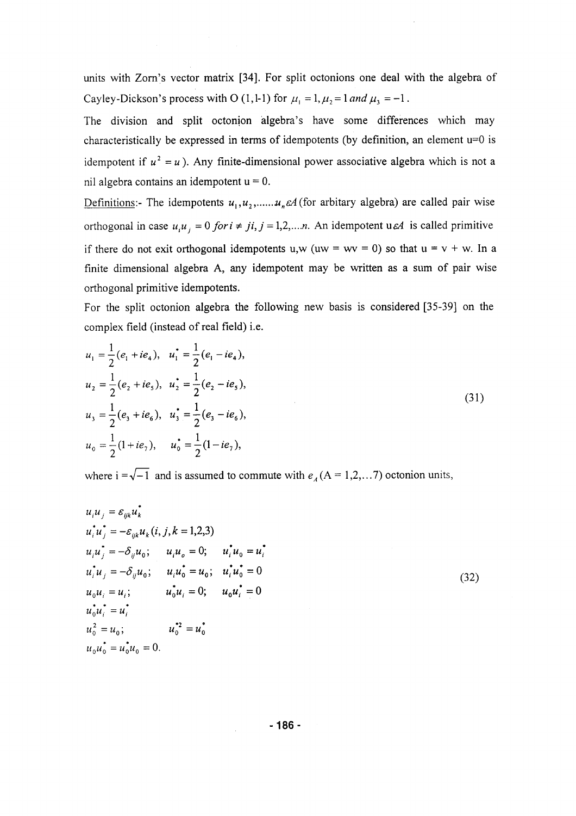units with Zorn's vector matrix [34]. For split octonions one deal with the algebra of Cayley-Dickson's process with O (1,1-1) for  $\mu_1 = 1, \mu_2 = 1$  and  $\mu_3 = -1$ .

The division and split octonion algebra's have some differences which may characteristically be expressed in terms of idempotents (by definition, an element  $u=0$  is idempotent if  $u^2 = u$ ). Any finite-dimensional power associative algebra which is not a nil algebra contains an idempotent  $u = 0$ .

Definitions:- The idempotents  $u_1, u_2, \dots, u_n \in A$  (for arbitary algebra) are called pair wise orthogonal in case  $u_i u_j = 0$  for  $i \neq j$ ,  $j = 1, 2, \dots, n$ . An idempotent use is called primitive if there do not exit orthogonal idempotents u,w (uw = wv = 0) so that  $u = v + w$ . In a finite dimensional algebra A, any idempotent may be written as a sum of pair wise orthogonal primitive idempotents.

For the split octonion algebra the following new basis is considered [35-39] on the complex field (instead of real field) i.e.

$$
u_1 = \frac{1}{2}(e_1 + ie_4), \quad u_1^* = \frac{1}{2}(e_1 - ie_4),
$$
  
\n
$$
u_2 = \frac{1}{2}(e_2 + ie_5), \quad u_2^* = \frac{1}{2}(e_2 - ie_5),
$$
  
\n
$$
u_3 = \frac{1}{2}(e_3 + ie_6), \quad u_3^* = \frac{1}{2}(e_3 - ie_6),
$$
  
\n
$$
u_0 = \frac{1}{2}(1 + ie_7), \quad u_0^* = \frac{1}{2}(1 - ie_7),
$$
\n(31)

where  $i = \sqrt{-1}$  and is assumed to commute with  $e_A (A = 1,2,... 7)$  octonion units,

$$
u_{i}u_{j} = \varepsilon_{ijk}u_{k}^{*}
$$
  
\n
$$
u_{i}^{*}u_{j}^{*} = -\varepsilon_{ijk}u_{k}(i, j, k = 1,2,3)
$$
  
\n
$$
u_{i}u_{j}^{*} = -\delta_{ij}u_{0}; \t u_{i}u_{o} = 0; \t u_{i}^{*}u_{0} = u_{i}^{*}
$$
  
\n
$$
u_{i}^{*}u_{j} = -\delta_{ij}u_{0}; \t u_{i}u_{o}^{*} = u_{0}; \t u_{i}^{*}u_{0}^{*} = 0
$$
  
\n
$$
u_{0}u_{i} = u_{i}; \t u_{0}^{*}u_{i} = 0; \t u_{0}u_{i}^{*} = 0
$$
  
\n
$$
u_{0}^{*}u_{i}^{*} = u_{i}^{*}
$$
  
\n
$$
u_{0}^{2} = u_{0}; \t u_{0}^{*2} = u_{0}^{*}
$$
  
\n
$$
u_{0}u_{0}^{*} = u_{0}^{*}u_{0} = 0.
$$
  
\n(32)

-186-

 $\mathbb{R}^2$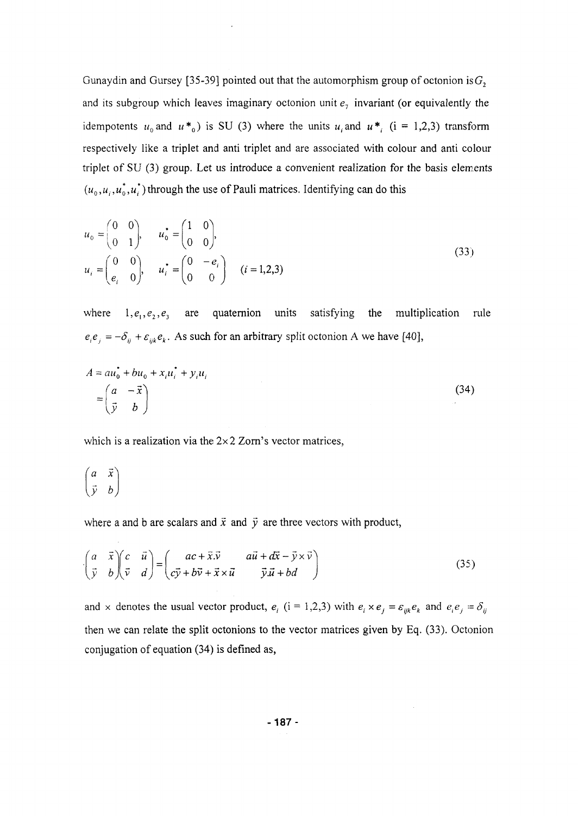Gunaydin and Gursey [35-39] pointed out that the automorphism group of octonion is  $G_2$ and its subgroup which leaves imaginary octonion unit  $e_7$  invariant (or equivalently the idempotents  $u_0$  and  $u *_{0}$  is SU (3) where the units  $u_i$  and  $u *_{i}$  (i = 1,2,3) transform respectively like a triplet and anti triplet and are associated with colour and anti colour triplet of SU (3) group. Let us introduce a convenient realization for the basis elements  $(u_0, u_i, u_0^*, u_i^*)$  through the use of Pauli matrices. Identifying can do this

$$
u_0 = \begin{pmatrix} 0 & 0 \\ 0 & 1 \end{pmatrix}, \quad u_0 = \begin{pmatrix} 1 & 0 \\ 0 & 0 \end{pmatrix},
$$
  
\n
$$
u_i = \begin{pmatrix} 0 & 0 \\ e_i & 0 \end{pmatrix}, \quad u_i = \begin{pmatrix} 0 & -e_i \\ 0 & 0 \end{pmatrix} \quad (i = 1, 2, 3)
$$
\n(33)

where  $1,e_1,e_2,e_3$  are quaternion units satisfying the multiplication rule  $e_i e_j = -\delta_{ij} + \varepsilon_{ijk} e_k$ . As such for an arbitrary split octonion A we have [40],

$$
A = au_0^{\dagger} + bu_0 + x_i u_i^{\dagger} + y_i u_i
$$
  
=  $\begin{pmatrix} a & -\vec{x} \\ \vec{y} & b \end{pmatrix}$  (34)

which is a realization via the  $2\times 2$  Zorn's vector matrices,

$$
\begin{pmatrix} a & \vec{x} \\ \vec{y} & b \end{pmatrix}
$$

where a and b are scalars and  $\vec{x}$  and  $\vec{y}$  are three vectors with product,

$$
\begin{pmatrix} a & \bar{x} \\ \bar{y} & b \end{pmatrix} \begin{pmatrix} c & \bar{u} \\ \bar{v} & d \end{pmatrix} = \begin{pmatrix} ac + \bar{x}.\bar{v} & a\bar{u} + d\bar{x} - \bar{y} \times \bar{v} \\ c\bar{y} + b\bar{v} + \bar{x} \times \bar{u} & \bar{y}.\bar{u} + bd \end{pmatrix}
$$
(35)

and x denotes the usual vector product,  $e_i$  (i = 1,2,3) with  $e_i \times e_j = \varepsilon_{ijk} e_k$  and  $e_i e_j = \delta_{ij}$ then we can relate the split octonions to the vector matrices given by Eq. (33). Octonion conjugation of equation (34) is defined as,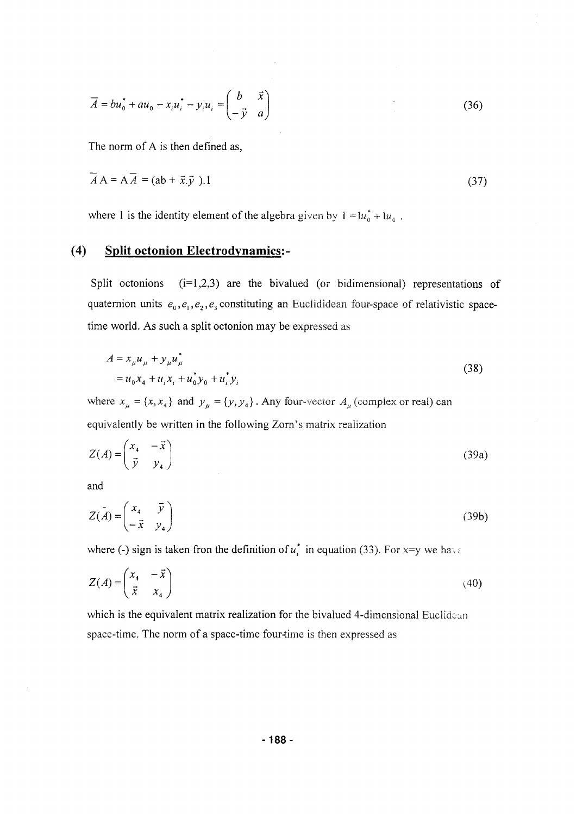$$
\overline{A} = b u_0^* + a u_0 - x_i u_i^* - y_i u_i = \begin{pmatrix} b & \vec{x} \\ -\vec{y} & a \end{pmatrix} \tag{36}
$$

The norm of A is then defined as,

$$
\overline{A}A = A\overline{A} = (ab + \overline{x}.\overline{y}).1
$$
\n(37)

where 1 is the identity element of the algebra given by  $1 = \frac{u_0^* + u_0}{u_0}$ .

# (4) Split octonion Electrodynamics:-

Split octonions  $(i=1,2,3)$  are the bivalued (or bidimensional) representations of quaternion units  $e_0$ ,  $e_1$ ,  $e_2$ ,  $e_3$  constituting an Euclididean four-space of relativistic spacetime world. As such a split octonion may be expressed as

$$
A = x_{\mu} u_{\mu} + y_{\mu} u_{\mu}^{*}
$$
  
=  $u_{0} x_{4} + u_{i} x_{i} + u_{0}^{*} y_{0} + u_{i}^{*} y_{i}$  (38)

 $\mu \rightarrow +\infty$   $\mu \rightarrow \infty$   $\mu \rightarrow +\infty$ 

$$
Z(A) = \begin{pmatrix} x_4 & -\vec{x} \\ \vec{y} & y_4 \end{pmatrix}
$$
 (39a)

and

$$
Z(\mathbf{A}) = \begin{pmatrix} x_4 & \vec{y} \\ -\vec{x} & y_4 \end{pmatrix} \tag{39b}
$$

where (-) sign is taken fron the definition of  $u_i^*$  in equation (33). For x=y we have

$$
Z(A) = \begin{pmatrix} x_4 & -\vec{x} \\ \vec{x} & x_4 \end{pmatrix}
$$
 (40)

which is the equivalent matrix realization for the bivalued 4-dimensional Euclidean space-time. The norm of a space-time four-time is then expressed as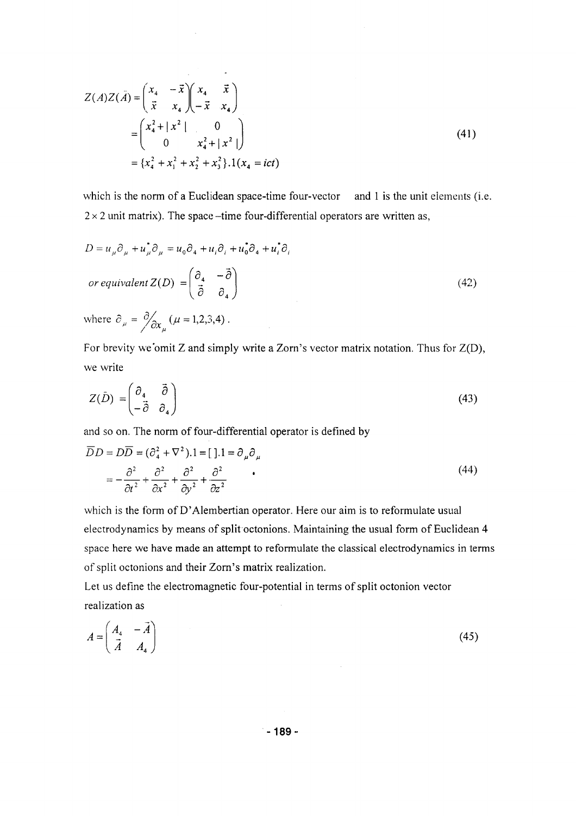$$
Z(A)Z(\bar{A}) = \begin{pmatrix} x_4 & -\vec{x} \\ \vec{x} & x_4 \end{pmatrix} \begin{pmatrix} x_4 & \vec{x} \\ -\vec{x} & x_4 \end{pmatrix}
$$
  
= 
$$
\begin{pmatrix} x_4^2 + |x^2| & 0 \\ 0 & x_4^2 + |x^2| \end{pmatrix}
$$
  
= 
$$
\{x_4^2 + x_1^2 + x_2^2 + x_3^2\}.1(x_4 = ict)
$$
 (41)

 $\sim 100$ 

which is the norm of a Euclidean space-time four-vector and 1 is the unit elements (i.e.  $2 \times 2$  unit matrix). The space-time four-differential operators are written as,

$$
D = u_{\mu}\partial_{\mu} + u_{\mu}^{*}\partial_{\mu} = u_{0}\partial_{4} + u_{i}\partial_{i} + u_{0}^{*}\partial_{4} + u_{i}^{*}\partial_{i}
$$
  
\nor *equivalent*  $Z(D) = \begin{pmatrix} \partial_{4} & -\overrightarrow{\partial} \\ \overrightarrow{\partial} & \partial_{4} \end{pmatrix}$   
\nwhere  $\partial_{\mu} = \frac{\partial}{\partial x_{\mu}} (\mu = 1, 2, 3, 4)$ . (42)

For brevity we'omit Z and simply write a Zorn's vector matrix notation. Thus for Z(D), we write

$$
Z(\bar{D}) = \begin{pmatrix} \partial_4 & \vec{\partial} \\ -\vec{\partial} & \partial_4 \end{pmatrix} \tag{43}
$$

and so on. The norm of four-differential operator is defined by

$$
\overline{D}D = D\overline{D} = (\partial_4^2 + \nabla^2).1 = [ ].1 = \partial_\mu \partial_\mu
$$
  
=  $-\frac{\partial^2}{\partial t^2} + \frac{\partial^2}{\partial x^2} + \frac{\partial^2}{\partial y^2} + \frac{\partial^2}{\partial z^2}$  (44)

which is the form of D'Alembertian operator. Here our aim is to reformulate usual electrodynamics by means of split octonions. Maintaining the usual form of Euclidean 4 space here we have made an attempt to reformulate the classical electrodynamics in terms of split octonions and their Zorn's matrix realization.

Let us define the electromagnetic four-potential in terms of split octonion vector realization as

$$
A = \begin{pmatrix} A_4 & -\vec{A} \\ \vec{A} & A_4 \end{pmatrix} \tag{45}
$$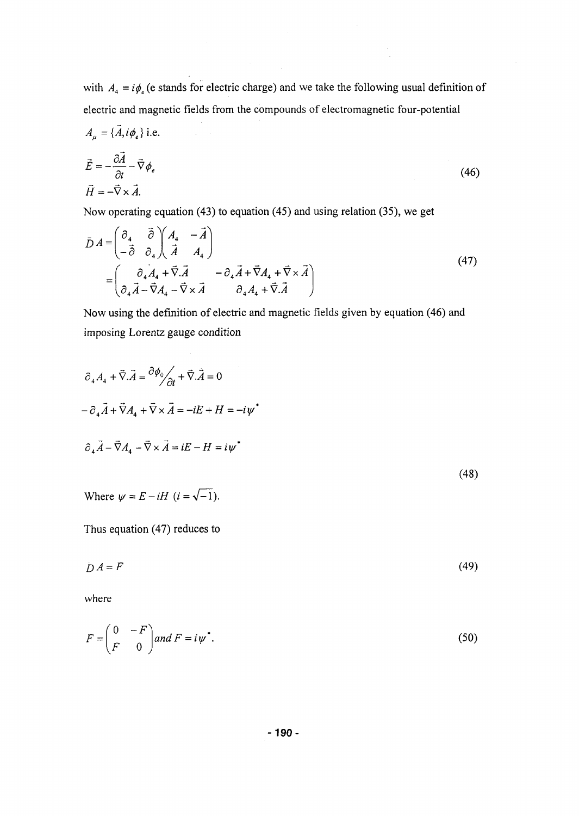with  $A_4 = i\phi$ <sub>e</sub> (e stands for electric charge) and we take the following usual definition of electric and magnetic fields from the compounds of electromagnetic four-potential

$$
A_{\mu} = {\bar{A}, i\phi_e} \text{ i.e.}
$$
  
\n
$$
\vec{E} = -\frac{\partial \vec{A}}{\partial t} - \vec{\nabla} \phi_e
$$
  
\n
$$
\vec{H} = -\vec{\nabla} \times \vec{A}.
$$
\n(46)

Now operating equation (43) to equation (45) and using relation (35), we get

$$
\bar{D}A = \begin{pmatrix} \partial_4 & \vec{\partial} \\ -\vec{\partial} & \partial_4 \end{pmatrix} \begin{pmatrix} A_4 & -\vec{A} \\ \vec{A} & A_4 \end{pmatrix} \\
= \begin{pmatrix} \partial_4 A_4 + \vec{\nabla} \cdot \vec{A} & -\partial_4 \vec{A} + \vec{\nabla} A_4 + \vec{\nabla} \times \vec{A} \\ \partial_4 \vec{A} - \vec{\nabla} A_4 - \vec{\nabla} \times \vec{A} & \partial_4 A_4 + \vec{\nabla} \cdot \vec{A} \end{pmatrix} \tag{47}
$$

Now using the definition of electric and magnetic fields given by equation (46) and imposing Lorentz gauge condition

$$
\partial_4 A_4 + \vec{\nabla} \cdot \vec{A} = \frac{\partial \phi_0}{\partial t} + \vec{\nabla} \cdot \vec{A} = 0
$$
  
\n
$$
- \partial_4 \vec{A} + \vec{\nabla} A_4 + \vec{\nabla} \times \vec{A} = -iE + H = -i\psi^*
$$
  
\n
$$
\partial_4 \vec{A} - \vec{\nabla} A_4 - \vec{\nabla} \times \vec{A} = iE - H = i\psi^*
$$
  
\n(48)  
\nWhere  $\psi = E - iH$   $(i = \sqrt{-1}).$ 

Thus equation (47) reduces to

$$
DA = F \tag{49}
$$

where

$$
F = \begin{pmatrix} 0 & -F \\ F & 0 \end{pmatrix} and F = i\psi^*.
$$
 (50)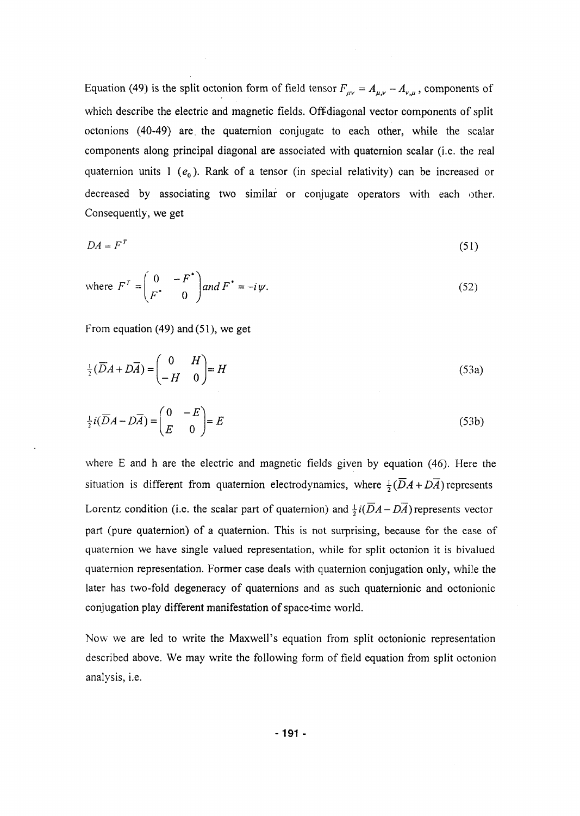Equation (49) is the split octonion form of field tensor  $F_{\mu\nu} = A_{\mu,\nu} - A_{\nu,\mu}$ , components of which describe the electric and magnetic fields. Off-diagonal vector components of split octonions (40-49) are. the quaternion conjugate to each other, while the scalar components along principal diagonal are associated with quaternion scalar (i.e. the real quaternion units 1 ( $e_0$ ). Rank of a tensor (in special relativity) can be increased or decreased by associating two similar or conjugate operators with each other. Consequently, we get

$$
DA = F^T \tag{51}
$$

where 
$$
F^T = \begin{pmatrix} 0 & -F^* \\ F^* & 0 \end{pmatrix}
$$
 and  $F^* = -i\psi$ . (52)

From equation (49) and (51), we get

$$
\frac{1}{2}(\overline{D}A + D\overline{A}) = \begin{pmatrix} 0 & H \\ -H & 0 \end{pmatrix} = H
$$
\n(53a)

$$
\frac{1}{2}i(\overline{D}A - D\overline{A}) = \begin{pmatrix} 0 & -E \\ E & 0 \end{pmatrix} = E
$$
 (53b)

where E and h are the electric and magnetic fields given by equation (46). Here the situation is different from quaternion electrodynamics, where  $\frac{1}{2}(\overline{D}A + D\overline{A})$  represents Lorentz condition (i.e. the scalar part of quaternion) and  $\frac{1}{2}i(\overline{D}A-D\overline{A})$  represents vector part (pure quaternion) of a quaternion. This is not surprising, because for the case of quaternion we have single valued representation, while for split octonion it is bivalued quaternion representation. Former case deals with quaternion conjugation only, while the later has two-fold degeneracy of quaternions and as such quaternionic and octonionic conjugation play different manifestation of space-time world.

Now we are led to write the Maxwell's equation from split octonionic representation described above. We may write the following form of field equation from split octonion analysis, i.e.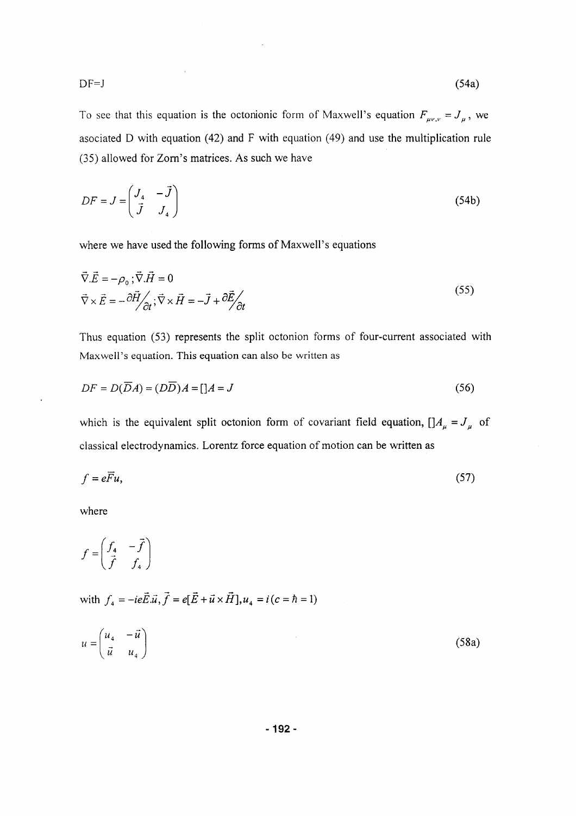$$
DF=J \tag{54a}
$$

To see that this equation is the octonionic form of Maxwell's equation  $F_{\mu\nu,\nu} = J_{\mu}$ , we asociated D with equation (42) and F with equation (49) and use the multiplication rule (35) allowed for Zorn's matrices. As such we have

$$
DF = J = \begin{pmatrix} J_4 & -\vec{J} \\ \vec{J} & J_4 \end{pmatrix}
$$
 (54b)

where we have used the following forms of Maxwell's equations

$$
\vec{\nabla}.\vec{E} = -\rho_0 \, ; \vec{\nabla}.\vec{H} = 0
$$
\n
$$
\vec{\nabla} \times \vec{E} = -\partial \vec{H} / \partial_t \, ; \vec{\nabla} \times \vec{H} = -\vec{J} + \partial \vec{E} / \partial_t \tag{55}
$$

Thus equation (53) represents the split octonion forms of four-current associated with Maxwell's equation. This equation can also be written as

$$
DF = D(\overline{D}A) = (D\overline{D})A = [A = J \tag{56}
$$

which is the equivalent split octonion form of covariant field equation,  $\left[\right]A_{\mu} = J_{\mu}$  of classical electrodynamics. Lorentz force equation of motion can be written as

$$
f = e\overline{F}u,\tag{57}
$$

where

$$
f = \begin{pmatrix} f_4 & -\vec{f} \\ \vec{f} & f_4 \end{pmatrix}
$$

with  $f_4 = -ie\vec{E}.\vec{u}, \vec{f} = e[\vec{E} + \vec{u} \times \vec{H}], u_4 = i(c = h = 1)$ 

$$
u = \begin{pmatrix} u_4 & -\vec{u} \\ \vec{u} & u_4 \end{pmatrix} \tag{58a}
$$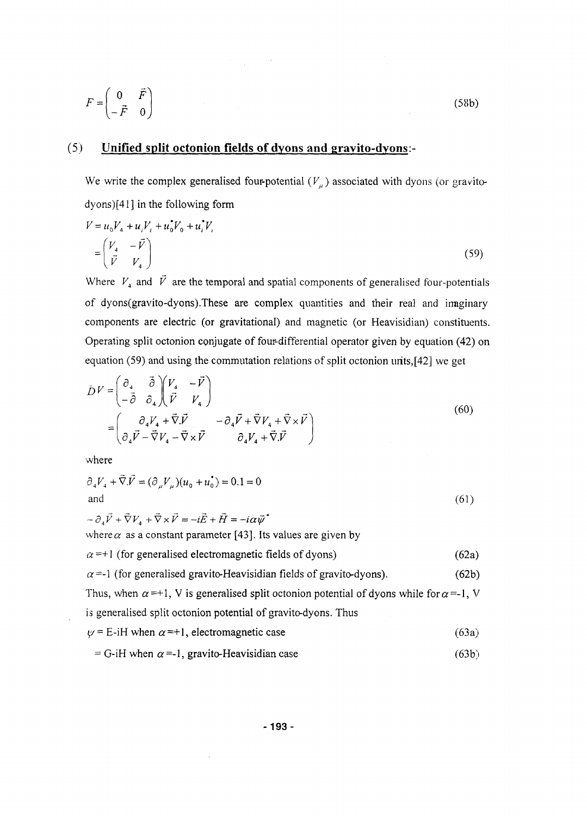$$
F = \begin{pmatrix} 0 & \vec{F} \\ -\vec{F} & 0 \end{pmatrix}
$$
 (58b)

# (5) Unified split octonion fields of dyons and gravito-dyons:-

 $\label{eq:2.1} \mathcal{F}^{(1)}_{\mathcal{F}}(x) = \frac{1}{\sqrt{2\pi}}\sum_{i=1}^n \frac{1}{\sqrt{2\pi}}\left(\frac{1}{\sqrt{2\pi}}\sum_{i=1}^n \frac{1}{\sqrt{2\pi}}\right)^2.$ 

We write the complex generalised four-potential  $(V_\mu)$  associated with dyons (or gravitodyons)[41] in the following form

$$
V = u_0 V_4 + u_i V_i + u_0^* V_0 + u_i^* V_i
$$
  
=  $\begin{pmatrix} V_4 & -\vec{V} \\ \vec{V} & V_4 \end{pmatrix}$  (59)

Where *V4* and *V* are the temporal and spatial components of generalised four-potentials of dyons(gravito-dyons).These are complex quantities and their real and irmginary components are electric (or gravitational) and magnetic (or Heavisidian) constituents. Operating split octonion conjugate of four-differential operator given by equation (42) on equation (59) and using the commutation relations of split octonion urits,[42] we get

$$
\bar{D}V = \begin{pmatrix} \partial_4 & \vec{\partial} \\ -\vec{\partial} & \partial_4 \end{pmatrix} \begin{pmatrix} V_4 & -\vec{V} \\ \vec{V} & V_4 \end{pmatrix} \\
= \begin{pmatrix} \partial_4 V_4 + \vec{\nabla} \cdot \vec{V} & -\partial_4 \vec{V} + \vec{\nabla} V_4 + \vec{\nabla} \times \vec{V} \\ \partial_4 \vec{V} - \vec{\nabla} V_4 - \vec{\nabla} \times \vec{V} & \partial_4 V_4 + \vec{\nabla} \cdot \vec{V} \end{pmatrix}
$$
\n(60)

where

$$
\partial_4 V_4 + \vec{\nabla} \cdot \vec{V} = (\partial_\mu V_\mu)(u_0 + u_0^*) = 0.1 = 0
$$
  
and (61)

$$
-\partial_4 \vec{V} + \vec{\nabla} V_4 + \vec{\nabla} \times \vec{V} = -i\vec{E} + \vec{H} = -i\alpha \vec{\psi}
$$
  
where  $\alpha$  as a constant parameter [43]. Its values are given by  
 $\alpha = +1$  (for generalised electromagnetic fields of dyons) (62a)  
 $\alpha = -1$  (for generalised gravito-Heavisidian fields of gravito-dyons). (62b)  
Thus, when  $\alpha = +1$ , V is generalised split octonion potential of dyons while for  $\alpha = -1$ , V  
is generalised split octonion potential of gravito-dyons. Thus  
 $\psi = E-iH$  when  $\alpha = +1$ , electromagnetic case (63a)

$$
= G-iH when \alpha = -1, gravito-Heavisidian case
$$
 (63b)

 $\hat{\boldsymbol{\beta}}$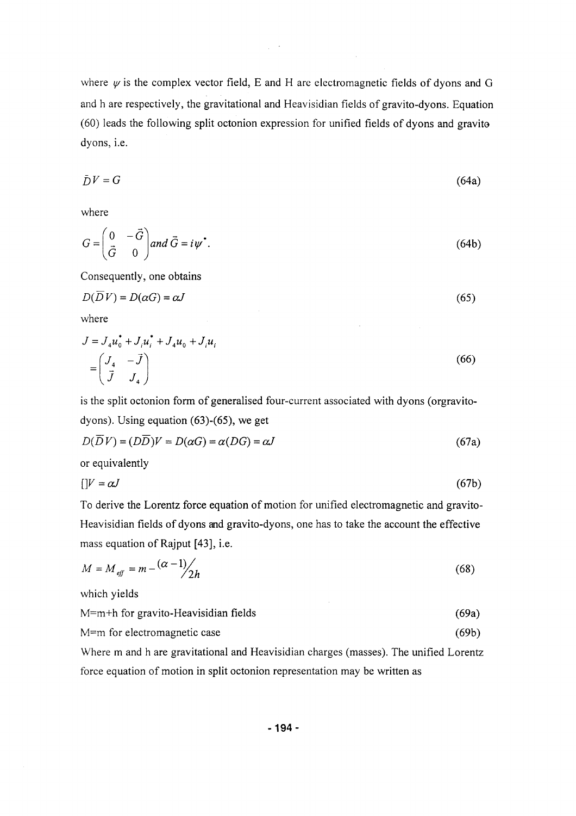where  $\psi$  is the complex vector field, E and H are electromagnetic fields of dyons and G and h are respectively, the gravitational and Heavisidian fields of gravito-dyons. Equation (60) leads the following split octonion expression for unified fields of dyons and gravito dyons, i.e.

$$
\bar{D}V = G \tag{64a}
$$

where

$$
G = \begin{pmatrix} 0 & -\vec{G} \\ \vec{G} & 0 \end{pmatrix} and \vec{G} = i\psi^*.
$$
 (64b)

Consequently, one obtains

$$
D(\overline{D}V) = D(\alpha G) = \alpha J \tag{65}
$$

where

$$
J = J_4 u_0^* + J_i u_i^* + J_4 u_0 + J_i u_i
$$
  
=  $\begin{pmatrix} J_4 & -\vec{J} \\ \vec{J} & J_4 \end{pmatrix}$  (66)

is the split octonion form of generalised four-current associated with dyons (orgravitodyons). Using equation (63)-(65), we get

$$
D(\overline{D}V) = (D\overline{D})V = D(\alpha G) = \alpha (DG) = \alpha J \tag{67a}
$$

or equivalently

$$
[]V = \alpha J \tag{67b}
$$

To derive the Lorentz force equation of motion for unified electromagnetic and gravito-Heavisidian fields of dyons and gravito-dyons, one has to take the account the effective mass equation of Rajput [43], i.e.

$$
M = M_{\text{eff}} = m - \frac{(\alpha - 1)}{2h} \tag{68}
$$

which yields

 $M=m+h$  for gravito-Heavisidian fields (69a)

M=m for electromagnetic case (69b)

Where m and h are gravitational and Heavisidian charges (masses). The unified Lorentz force equation of motion in split octonion representation may be written as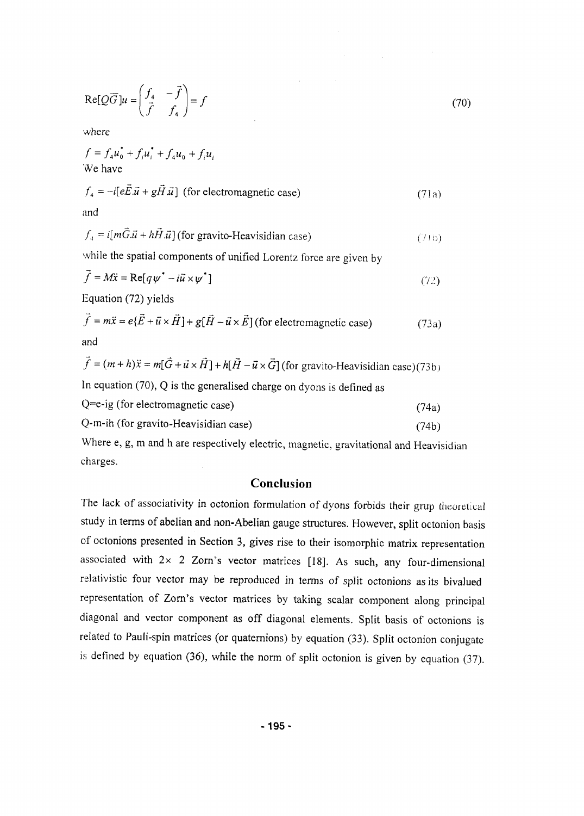$$
\operatorname{Re}[Q\overline{G}]u = \begin{pmatrix} f_4 & -\overrightarrow{f} \\ \overrightarrow{f} & f_4 \end{pmatrix} = f \tag{70}
$$

 $\mathcal{L}_{\mathrm{c}}$ 

where

$$
f = f_4 u_0^* + f_i u_i^* + f_4 u_0 + f_i u_i
$$
  
We have

$$
f_4 = -i[eE.\vec{u} + gH.\vec{u}] \text{ (for electromagnetic case)}
$$
 (71a)

and

$$
f_4 = i[m\ddot{G}.\vec{u} + h\vec{H}.\vec{u}]
$$
 (for gravito-Heavisidian case) (71b)

while the spatial components of unified Lorentz force are given by

$$
f = M\ddot{x} = \text{Re}[q\psi^* - i\vec{u} \times \psi^*]
$$
\n(72)

Equation (72) yields

$$
\vec{f} = m\ddot{x} = e\{\vec{E} + \vec{u} \times \vec{H}\} + g[\vec{H} - \vec{u} \times \vec{E}](\text{for electromagnetic case})
$$
\n(73a)

$$
\vec{f} = (m+h)\ddot{x} = m[\vec{G} + \vec{u} \times \vec{H}] + h[\vec{H} - \vec{u} \times \vec{G}] \text{ (for gravito-Heavisidian case)} (73b)
$$
  
In equation (70), Q is the generalised charge on dyons is defined as

$$
Q = e - ig \text{ (for electromagnetic case)} \tag{74a}
$$

$$
Q-m-ih (for gravito-Heavisidian case)
$$
\n(74b)

Where e, g, m and h are respectively electric, magnetic, gravitational and Heavisidian charges.

## Conclusion

The lack of associativity in octonion formulation of dyons forbids their grup theoretical study in terms of abelian and non-Abelian gauge structures. However, split octonion basis of octonions presented in Section 3, gives rise to their isomorphic matrix representation associated with  $2 \times 2$  Zorn's vector matrices [18]. As such, any four-dimensional relativistic four vector may be reproduced in terms of split octonions as its bivalued representation of Zorn's vector matrices by taking scalar component along principal diagonal and vector component as off diagonal elements. Split basis of octonions is related to Pauli-spin matrices (or quaternions) by equation (33). Split octonion conjugate is defined by equation (36), while the norm of split octonion is given by equation (37).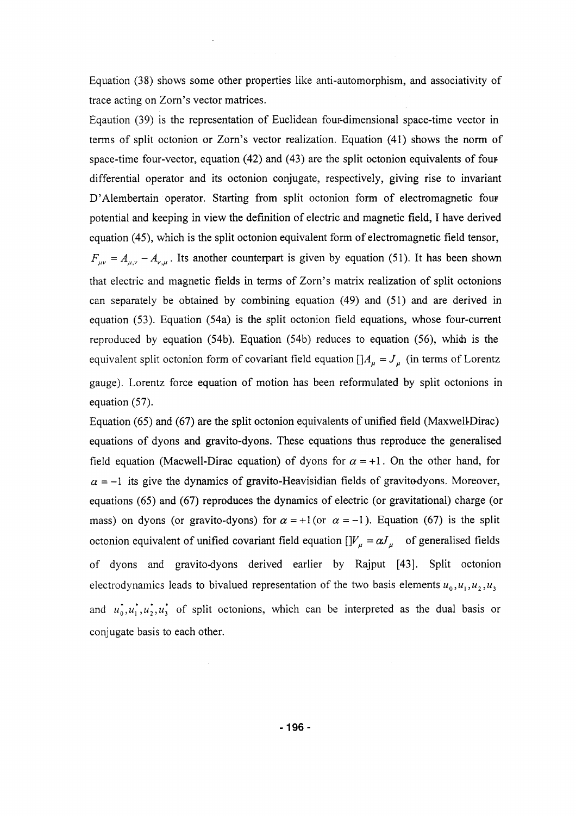Equation (38) shows some other properties like anti-automorphism, and associativity of trace acting on Zorn's vector matrices.

Eqaution (39) is the representation of Euclidean four-dimensional space-time vector in terms of split octonion or Zorn's vector realization. Equation (41) shows the norm of space-time four-vector, equation (42) and (43) are the split octonion equivalents of four differential operator and its octonion conjugate, respectively, giving rise to invariant D'Alembertain operator. Starting from split octonion form of electromagnetic four potential and keeping in view the definition of electric and magnetic field, I have derived equation (45), which is the split octonion equivalent form of electromagnetic field tensor,  $F_{\mu\nu} = A_{\mu\nu} - A_{\nu,\mu}$ . Its another counterpart is given by equation (51). It has been shown that electric and magnetic fields in terms of Zorn's matrix realization of split octonions can separately be obtained by combining equation (49) and (51) and are derived in equation (53). Equation (54a) is the split octonion field equations, whose four-current reproduced by equation (54b). Equation (54b) reduces to equation (56), whidi is the equivalent split octonion form of covariant field equation  $\left[\right]A_\mu = J_\mu$  (in terms of Lorentz gauge). Lorentz force equation of motion has been reformulated by split octonions in equation (57).

Equation (65) and (67) are the split octonion equivalents of unified field (Maxwell-Dirac) equations of dyons and gravito-dyons. These equations thus reproduce the generalised field equation (Macwell-Dirac equation) of dyons for  $\alpha = +1$ . On the other hand, for  $\alpha$  = -1 its give the dynamics of gravito-Heavisidian fields of gravitodyons. Moreover, equations (65) and (67) reproduces the dynamics of electric (or gravitational) charge (or mass) on dyons (or gravito-dyons) for  $\alpha = +1$  (or  $\alpha = -1$ ). Equation (67) is the split octonion equivalent of unified covariant field equation  $[$  $]V_\mu = \alpha J_\mu$  of generalised fields of dyons and gravito-dyons derived earlier by Rajput [43]. Split octonion electrodynamics leads to bivalued representation of the two basis elements  $u_0$ ,  $u_1$ ,  $u_2$ ,  $u_3$ and  $u_0^*, u_1^*, u_2^*, u_3^*$  of split octonions, which can be interpreted as the dual basis or conjugate basis to each other.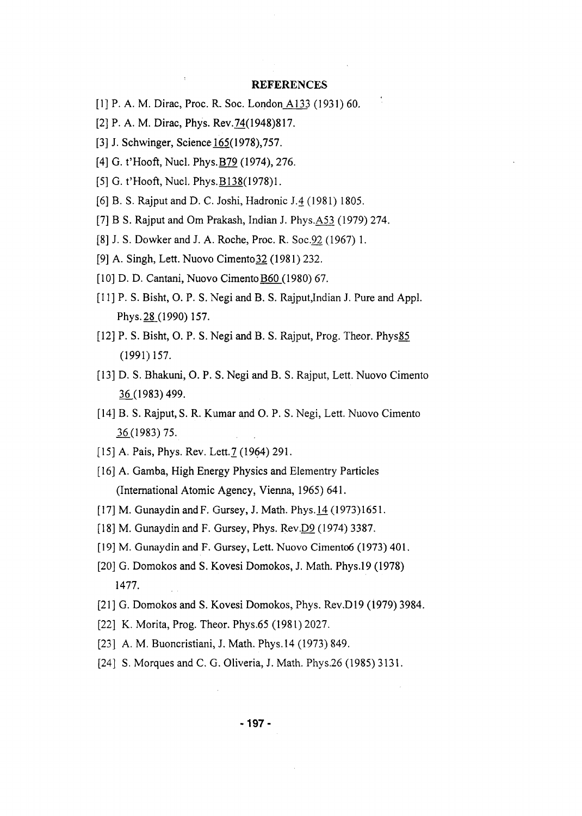#### **REFERENCES**

- [1] P. A. M. Dirac, Proc. R. Soc. London A133 (1931) 60.
- [2] P. A. M. Dirac, Phys. Rev.74(1948)817.
- [3] J. Schwinger, Science 165(1978), 757.
- [4] G. t'Hooft, Nucl. Phys. **B79** (1974), 276.
- [5] G. t'Hooft, Nucl. Phys.B138(1978)1.
- [6] B. S. Rajput and D. C. Joshi, Hadronic J.4 (1981) 1805.
- [7] B S. Rajput and Om Prakash, Indian J. Phys.A53 (1979) 274.
- [8] J. S. Dowker and J. A. Roche, Proc. R. Soc.92 (1967) 1.
- [9] A. Singh, Lett. Nuovo Cimento32 (1981) 232.
- [10] D. D. Cantani, Nuovo Cimento B60 (1980) 67.
- [11] P. S. Bisht, O. P. S. Negi and B. S. Rajput, Indian J. Pure and Appl. Phys. 28.(1990) 157.
- [12] P. S. Bisht, O. P. S. Negi and B. S. Rajput, Prog. Theor. Phys85 (1991)157.
- [13] D. S. Bhakuni, O. P. S. Negi and B. S. Rajput, Lett. Nuovo Cimento 36.(1983)499.
- [14] B. S. Rajput, S. R. Kumar and O. P. S. Negi, Lett. Nuovo Cimento 16.(1983)75.
- [15] A. Pais, Phys. Rev. Lett. 7 (1964) 291.
- [16] A. Gamba, High Energy Physics and Elementry Particles (International Atomic Agency, Vienna, 1965) 641.
- [17] M. Gunaydin and F. Gursey, J. Math. Phys. 14 (1973)1651.
- [18] M. Gunaydin and F. Gursey, Phys. Rev.D9 (1974) 3387.
- [19] M. Gunaydin and F. Gursey, Lett. Nuovo Cimento6 (1973) 401.
- [20] G. Domokos and S. Kovesi Domokos, J. Math. Phys.19 (1978) 1477.
- [21] G. Domokos and S. Kovesi Domokos, Phys. Rev.D19 (1979) 3984.
- [22] K. Morita, Prog. Theor. Phys.65 (1981) 2027.
- [23] A. M. Buoncristiani, J. Math. Phys. 14 (1973) 849.
- [24] S. Morques and C. G. Oliveria, J. Math. Phys.26 (1985) 3131.